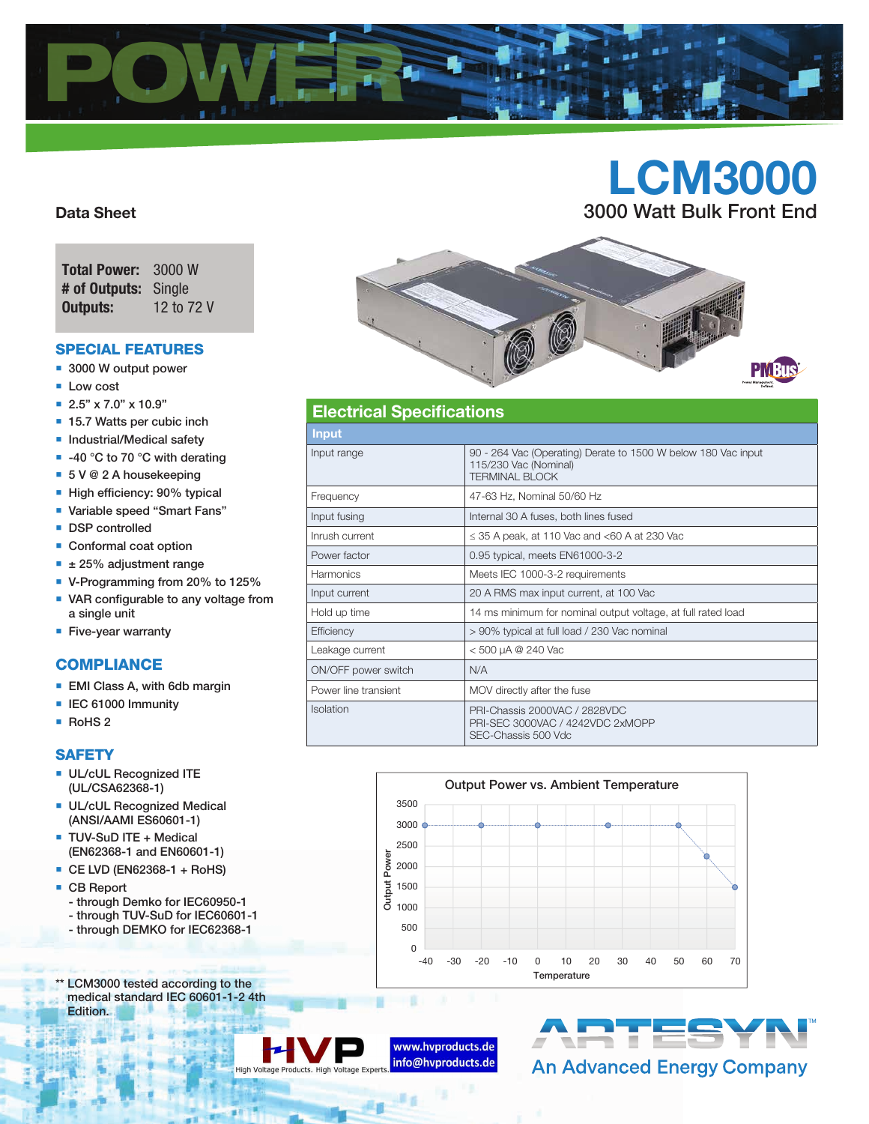

# LCM3000 3000 Watt Bulk Front End

## Data Sheet

| <b>Total Power:</b>  | 3000 W     |
|----------------------|------------|
| # of Outputs: Single |            |
| Outputs:             | 12 to 72 V |

## Special features

- 3000 W output power
- **Low cost**
- 2.5" x 7.0" x 10.9"
- 15.7 Watts per cubic inch
- **Industrial/Medical safety**
- $-40$  °C to 70 °C with derating
- 5 V @ 2 A housekeeping
- High efficiency: 90% typical
- Variable speed "Smart Fans"
- **DSP** controlled
- Conformal coat option
- $\textbf{I}$   $\pm$  25% adjustment range
- V-Programming from 20% to 125%
- VAR configurable to any voltage from a single unit
- **Five-year warranty**

## **COMPLIANCE**

- **EMI Class A, with 6db margin**
- **IEC 61000 Immunity**
- RoHS 2

### **SAFETY**

- **UL/cUL Recognized ITE** (UL/CSA62368-1)
- **UL/cUL Recognized Medical** (ANSI/AAMI ES60601-1)
- **TUV-SuD ITE + Medical** (EN62368-1 and EN60601-1)
- CE LVD (EN62368-1 + RoHS)
- CB Report
	- through Demko for IEC60950-1
	- through TUV-SuD for IEC60601-1
- through DEMKO for IEC62368-1
- \*\* LCM3000 tested according to the
- medical standard IEC 60601-1-2 4th Edition.



通信



## Electrical Specifications

| Input                |                                                                                                                 |  |  |  |  |
|----------------------|-----------------------------------------------------------------------------------------------------------------|--|--|--|--|
| Input range          | 90 - 264 Vac (Operating) Derate to 1500 W below 180 Vac input<br>115/230 Vac (Nominal)<br><b>TERMINAL BLOCK</b> |  |  |  |  |
| Frequency            | 47-63 Hz, Nominal 50/60 Hz                                                                                      |  |  |  |  |
| Input fusing         | Internal 30 A fuses, both lines fused                                                                           |  |  |  |  |
| Inrush current       | $\leq$ 35 A peak, at 110 Vac and <60 A at 230 Vac                                                               |  |  |  |  |
| Power factor         | 0.95 typical, meets EN61000-3-2                                                                                 |  |  |  |  |
| <b>Harmonics</b>     | Meets IEC 1000-3-2 requirements                                                                                 |  |  |  |  |
| Input current        | 20 A RMS max input current, at 100 Vac                                                                          |  |  |  |  |
| Hold up time         | 14 ms minimum for nominal output voltage, at full rated load                                                    |  |  |  |  |
| Efficiency           | > 90% typical at full load / 230 Vac nominal                                                                    |  |  |  |  |
| Leakage current      | < 500 µA @ 240 Vac                                                                                              |  |  |  |  |
| ON/OFF power switch  | N/A                                                                                                             |  |  |  |  |
| Power line transient | MOV directly after the fuse                                                                                     |  |  |  |  |
| <b>Isolation</b>     | PRI-Chassis 2000VAC / 2828VDC<br>PRI-SEC 3000VAC / 4242VDC 2xMOPP<br>SEC-Chassis 500 Vdc                        |  |  |  |  |





## **An Advanced Energy Company**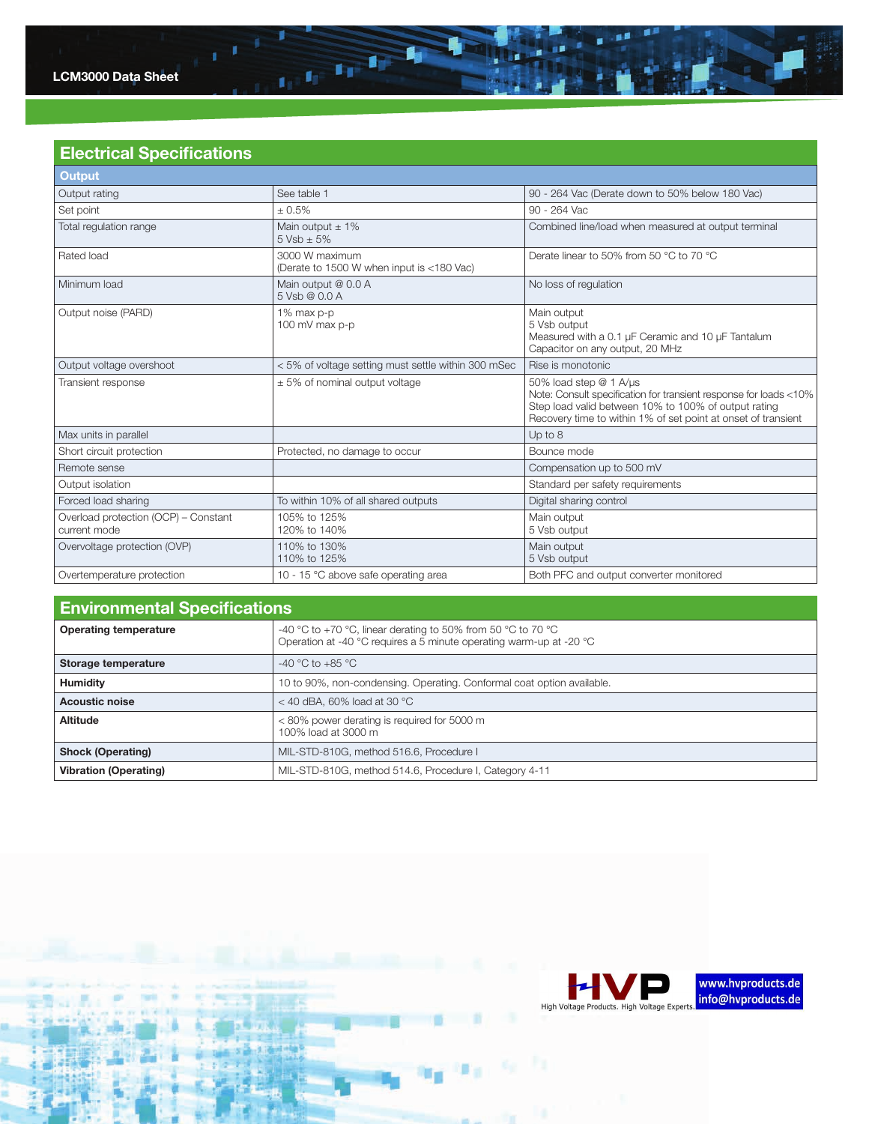

## Electrical Specifications

| <b>Output</b>                                        |                                                                                                         |                                                                                                                                                                                                                      |  |  |  |
|------------------------------------------------------|---------------------------------------------------------------------------------------------------------|----------------------------------------------------------------------------------------------------------------------------------------------------------------------------------------------------------------------|--|--|--|
| Output rating                                        | See table 1                                                                                             | 90 - 264 Vac (Derate down to 50% below 180 Vac)                                                                                                                                                                      |  |  |  |
| Set point                                            | $+0.5%$                                                                                                 | 90 - 264 Vac                                                                                                                                                                                                         |  |  |  |
| Total regulation range                               | Main output $\pm$ 1%<br>$5 Vsh + 5%$                                                                    | Combined line/load when measured at output terminal                                                                                                                                                                  |  |  |  |
| Rated load                                           | 3000 W maximum<br>Derate linear to 50% from 50 °C to 70 °C<br>(Derate to 1500 W when input is <180 Vac) |                                                                                                                                                                                                                      |  |  |  |
| Minimum load                                         | Main output @ 0.0 A<br>5 Vsb @ 0.0 A                                                                    | No loss of regulation                                                                                                                                                                                                |  |  |  |
| Output noise (PARD)                                  | 1% max p-p<br>100 mV max p-p                                                                            | Main output<br>5 Vsb output<br>Measured with a 0.1 µF Ceramic and 10 µF Tantalum<br>Capacitor on any output, 20 MHz                                                                                                  |  |  |  |
| Output voltage overshoot                             | < 5% of voltage setting must settle within 300 mSec                                                     | Rise is monotonic                                                                                                                                                                                                    |  |  |  |
| Transient response                                   | $\pm$ 5% of nominal output voltage                                                                      | 50% load step @ 1 A/us<br>Note: Consult specification for transient response for loads <10%<br>Step load valid between 10% to 100% of output rating<br>Recovery time to within 1% of set point at onset of transient |  |  |  |
| Max units in parallel                                |                                                                                                         | Up to 8                                                                                                                                                                                                              |  |  |  |
| Short circuit protection                             | Protected, no damage to occur                                                                           | Bounce mode                                                                                                                                                                                                          |  |  |  |
| Remote sense                                         |                                                                                                         | Compensation up to 500 mV                                                                                                                                                                                            |  |  |  |
| Output isolation                                     |                                                                                                         | Standard per safety requirements                                                                                                                                                                                     |  |  |  |
| Forced load sharing                                  | To within 10% of all shared outputs                                                                     | Digital sharing control                                                                                                                                                                                              |  |  |  |
| Overload protection (OCP) - Constant<br>current mode | 105% to 125%<br>120% to 140%                                                                            | Main output<br>5 Vsb output                                                                                                                                                                                          |  |  |  |
| Overvoltage protection (OVP)                         | 110% to 130%<br>110% to 125%                                                                            | Main output<br>5 Vsb output                                                                                                                                                                                          |  |  |  |
| Overtemperature protection                           | 10 - 15 °C above safe operating area                                                                    | Both PFC and output converter monitored                                                                                                                                                                              |  |  |  |

 $\mathbf{I}_{\mathrm{F}}\stackrel{\mathbf{f}_{\mathrm{F}}}{\rightarrow}\mathbf{I}_{\mathrm{F}}\stackrel{\mathbf{f}_{\mathrm{F}}}{\rightarrow}$ 

 $\blacksquare$ 

| <b>Environmental Specifications</b> |                                                                                                                                     |  |  |  |  |
|-------------------------------------|-------------------------------------------------------------------------------------------------------------------------------------|--|--|--|--|
| <b>Operating temperature</b>        | -40 °C to +70 °C, linear derating to 50% from 50 °C to 70 °C<br>Operation at -40 °C requires a 5 minute operating warm-up at -20 °C |  |  |  |  |
| Storage temperature                 | $-40$ °C to $+85$ °C                                                                                                                |  |  |  |  |
| <b>Humidity</b>                     | 10 to 90%, non-condensing. Operating. Conformal coat option available.                                                              |  |  |  |  |
| <b>Acoustic noise</b>               | $<$ 40 dBA, 60% load at 30 °C                                                                                                       |  |  |  |  |
| <b>Altitude</b>                     | < 80% power derating is required for 5000 m<br>100% load at 3000 m                                                                  |  |  |  |  |
| <b>Shock (Operating)</b>            | MIL-STD-810G, method 516.6, Procedure I                                                                                             |  |  |  |  |
| <b>Vibration (Operating)</b>        | MIL-STD-810G, method 514.6, Procedure I, Category 4-11                                                                              |  |  |  |  |

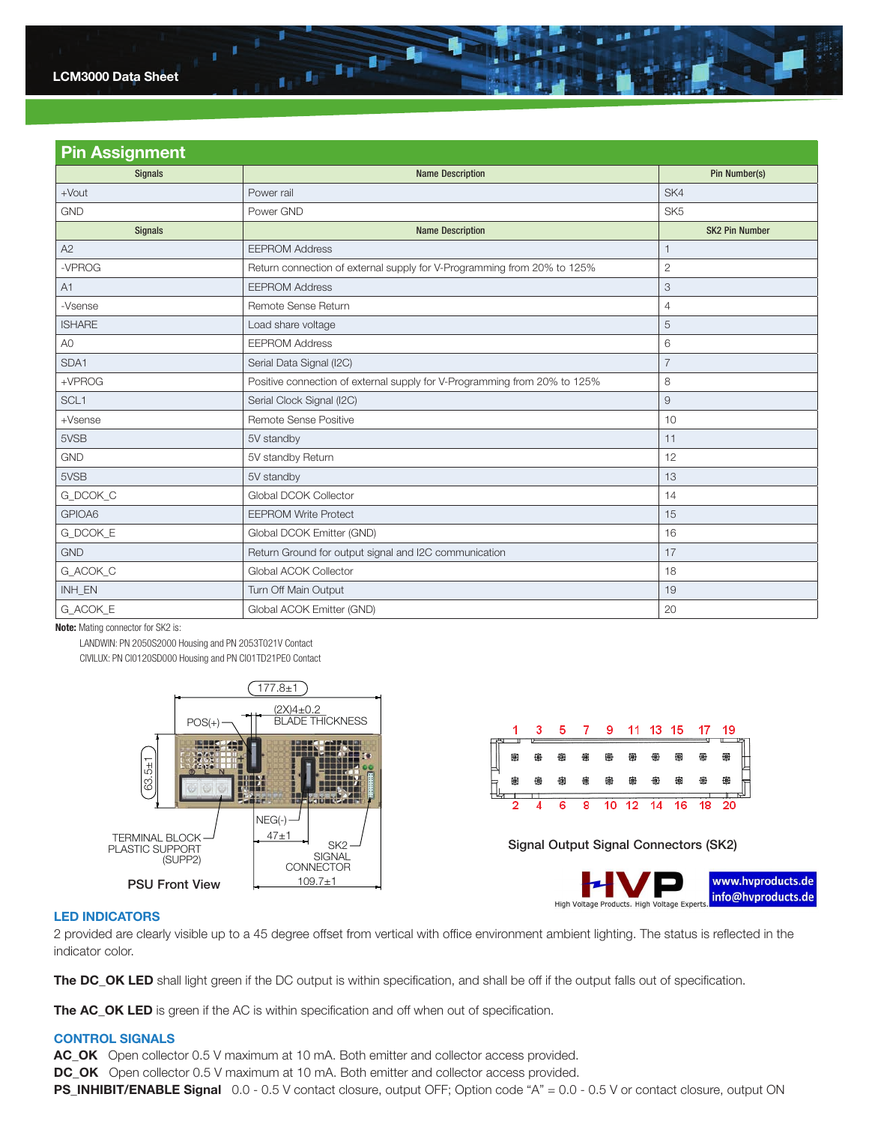

| <b>Pin Assignment</b> |                                                                           |                       |  |  |  |  |  |
|-----------------------|---------------------------------------------------------------------------|-----------------------|--|--|--|--|--|
| <b>Signals</b>        | <b>Name Description</b>                                                   | Pin Number(s)         |  |  |  |  |  |
| $+$ Vout              | Power rail                                                                | SK4                   |  |  |  |  |  |
| <b>GND</b>            | Power GND                                                                 | SK <sub>5</sub>       |  |  |  |  |  |
| <b>Signals</b>        | <b>Name Description</b>                                                   | <b>SK2 Pin Number</b> |  |  |  |  |  |
| A2                    | <b>EEPROM Address</b>                                                     | $\mathbf{1}$          |  |  |  |  |  |
| -VPROG                | Return connection of external supply for V-Programming from 20% to 125%   | $\mathbf{2}$          |  |  |  |  |  |
| A1                    | <b>EEPROM Address</b>                                                     | 3                     |  |  |  |  |  |
| -Vsense               | Remote Sense Return                                                       | $\overline{4}$        |  |  |  |  |  |
| <b>ISHARE</b>         | Load share voltage                                                        | 5                     |  |  |  |  |  |
| A <sub>0</sub>        | <b>EEPROM Address</b>                                                     | 6                     |  |  |  |  |  |
| SDA1                  | Serial Data Signal (I2C)                                                  | $\overline{7}$        |  |  |  |  |  |
| +VPROG                | Positive connection of external supply for V-Programming from 20% to 125% | 8                     |  |  |  |  |  |
| SCL <sub>1</sub>      | Serial Clock Signal (I2C)                                                 | 9                     |  |  |  |  |  |
| $+V$ sense            | Remote Sense Positive                                                     | 10                    |  |  |  |  |  |
| 5VSB                  | 5V standby                                                                | 11                    |  |  |  |  |  |
| <b>GND</b>            | 5V standby Return                                                         | 12                    |  |  |  |  |  |
| 5VSB                  | 5V standby                                                                | 13                    |  |  |  |  |  |
| G_DCOK_C              | Global DCOK Collector                                                     | 14                    |  |  |  |  |  |
| GPIOA6                | <b>EEPROM Write Protect</b>                                               | 15                    |  |  |  |  |  |
| G_DCOK_E              | Global DCOK Emitter (GND)                                                 | 16                    |  |  |  |  |  |
| <b>GND</b>            | Return Ground for output signal and I2C communication                     | 17                    |  |  |  |  |  |
| G_ACOK_C              | Global ACOK Collector                                                     | 18                    |  |  |  |  |  |
| INH EN                | Turn Off Main Output                                                      | 19                    |  |  |  |  |  |
| G_ACOK_E              | Global ACOK Emitter (GND)                                                 | 20                    |  |  |  |  |  |

Note: Mating connector for SK2 is:

 LANDWIN: PN 2050S2000 Housing and PN 2053T021V Contact CIVILUX: PN CI0120SD000 Housing and PN CI01TD21PE0 Contact





 $SK2 \rightarrow$  Signal Output Signal Connectors (SK2)



### LED Indicators

2 provided are clearly visible up to a 45 degree offset from vertical with office environment ambient lighting. The status is reflected in the indicator color.

The DC\_OK LED shall light green if the DC output is within specification, and shall be off if the output falls out of specification.

The AC\_OK LED is green if the AC is within specification and off when out of specification.

### **CONTROL SIGNALS**

AC\_OK Open collector 0.5 V maximum at 10 mA. Both emitter and collector access provided.

DC\_OK Open collector 0.5 V maximum at 10 mA. Both emitter and collector access provided.

PS\_INHIBIT/ENABLE Signal 0.0 - 0.5 V contact closure, output OFF; Option code "A" = 0.0 - 0.5 V or contact closure, output ON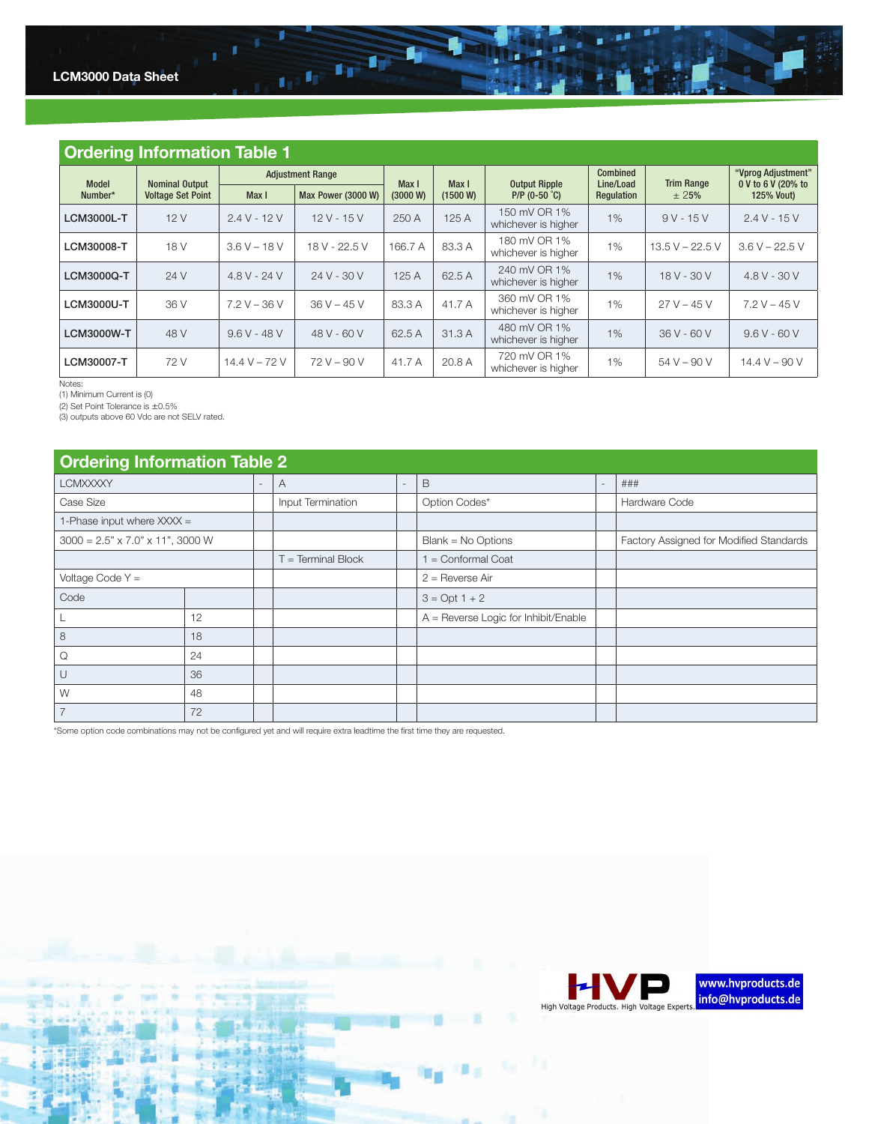

| <b>Ordering Information Table 1</b> |                          |                |                         |                   |          |                                     |                              |                   |                                          |
|-------------------------------------|--------------------------|----------------|-------------------------|-------------------|----------|-------------------------------------|------------------------------|-------------------|------------------------------------------|
| Model                               | <b>Nominal Output</b>    |                | <b>Adjustment Range</b> |                   | Max I    | <b>Output Ripple</b>                | <b>Combined</b><br>Line/Load | <b>Trim Range</b> | "Vprog Adjustment"<br>0 V to 6 V (20% to |
| Number*                             | <b>Voltage Set Point</b> | Max I          | Max Power (3000 W)      | Max I<br>(3000 W) | (1500 W) | $P/P$ (0-50 °C)                     | Regulation                   | $\pm 25%$         | <b>125% Vout)</b>                        |
| <b>LCM3000L-T</b>                   | 12V                      | $2.4 V - 12 V$ | $12 V - 15 V$           | 250 A             | 125 A    | 150 mV OR 1%<br>whichever is higher | 1%                           | $9V - 15V$        | $2.4 V - 15 V$                           |
| LCM30008-T                          | 18 V                     | $3.6 V - 18 V$ | 18 V - 22.5 V           | 166.7 A           | 83.3 A   | 180 mV OR 1%<br>whichever is higher | 1%                           | $13.5 V - 22.5 V$ | $3.6 V - 22.5 V$                         |
| <b>LCM3000Q-T</b>                   | 24 V                     | $4.8 V - 24 V$ | $24V - 30V$             | 125A              | 62.5 A   | 240 mV OR 1%<br>whichever is higher | 1%                           | $18V - 30V$       | $4.8 V - 30 V$                           |
| <b>LCM3000U-T</b>                   | 36 V                     | $7.2 V - 36 V$ | $36 V - 45 V$           | 83.3 A            | 41.7 A   | 360 mV OR 1%<br>whichever is higher | 1%                           | $27 V - 45 V$     | $7.2 V - 45 V$                           |
| <b>LCM3000W-T</b>                   | 48 V                     | $9.6 V - 48 V$ | 48 V - 60 V             | 62.5 A            | 31.3 A   | 480 mV OR 1%<br>whichever is higher | $1\%$                        | $36V - 60V$       | $9.6 V - 60 V$                           |
| LCM30007-T                          | 72 V                     | 14.4 V – 72 V  | $72 V - 90 V$           | 41.7 A            | 20.8 A   | 720 mV OR 1%<br>whichever is higher | 1%                           | $54 V - 90 V$     | $14.4 V - 90 V$                          |

Notes: (1) Minimum Current is (0)

(2) Set Point Tolerance is ±0.5% (3) outputs above 60 Vdc are not SELV rated.

## Ordering Information Table 2 LCMXXXXY - A - B - ### Case Size Input Termination Option Codes\* Hardware Code 1-Phase input where  $XXX =$

 $\frac{1}{1+1}$  ,  $\frac{1}{1+1}$  ,  $\frac{1}{1+1}$ 

| 1-Phase input where $XXX =$                  |    |                  |                                        |                                         |
|----------------------------------------------|----|------------------|----------------------------------------|-----------------------------------------|
| $3000 = 2.5" \times 7.0" \times 11", 3000 W$ |    |                  | $Blank = No$ Options                   | Factory Assigned for Modified Standards |
|                                              |    | = Terminal Block | $=$ Conformal Coat                     |                                         |
| Voltage Code $Y =$                           |    |                  | $2 =$ Reverse Air                      |                                         |
| Code                                         |    |                  | $3 = Opt 1 + 2$                        |                                         |
|                                              | 12 |                  | $A =$ Reverse Logic for Inhibit/Enable |                                         |
| 8                                            | 18 |                  |                                        |                                         |
| Q                                            | 24 |                  |                                        |                                         |
| $\cup$                                       | 36 |                  |                                        |                                         |
| W                                            | 48 |                  |                                        |                                         |
|                                              | 72 |                  |                                        |                                         |

\*Some option code combinations may not be configured yet and will require extra leadtime the first time they are requested.

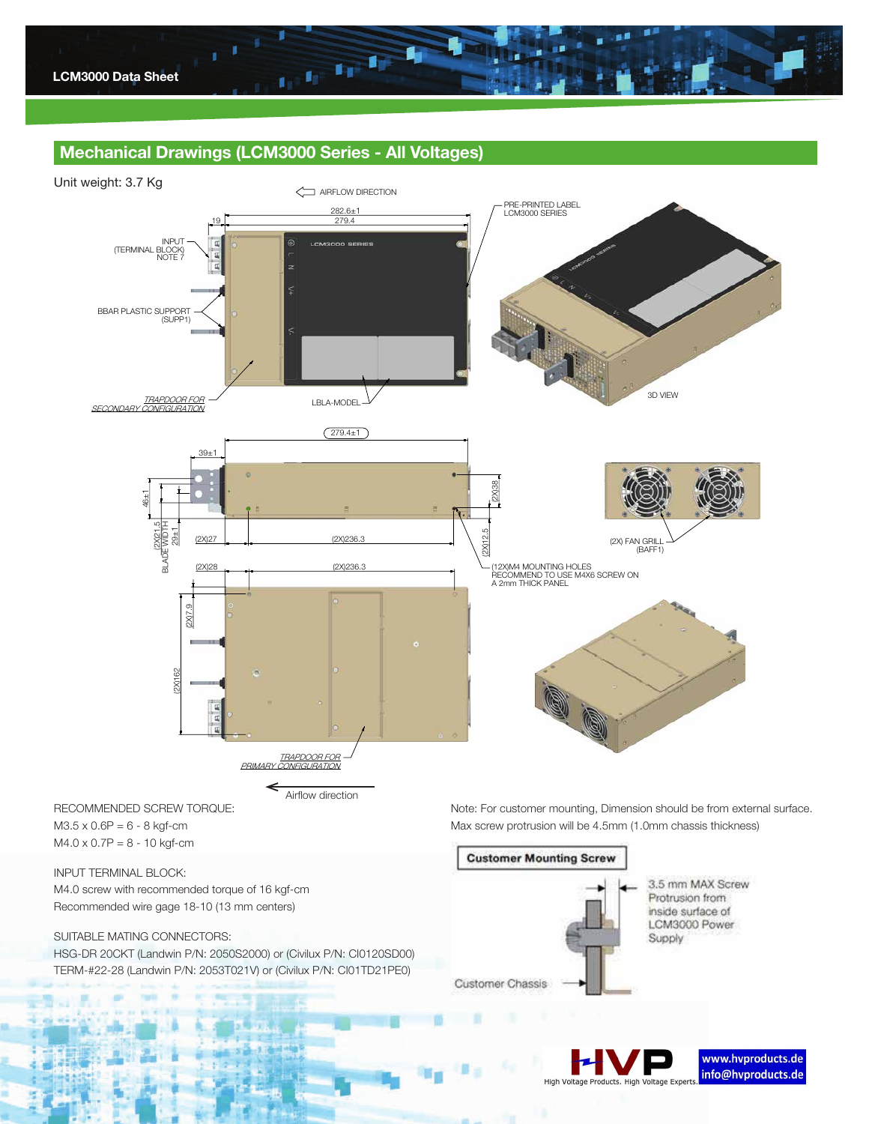

## Mechanical Drawings (LCM3000 Series - All Voltages)



#### INPUT TERMINAL BLOCK:

M4.0 screw with recommended torque of 16 kgf-cm Recommended wire gage 18-10 (13 mm centers)

## SUITABLE MATING CONNECTORS:

HSG-DR 20CKT (Landwin P/N: 2050S2000) or (Civilux P/N: CI0120SD00) TERM-#22-28 (Landwin P/N: 2053T021V) or (Civilux P/N: CI01TD21PE0)



3.5 mm MAX Screw Protrusion from inside surface of LCM3000 Power Supply

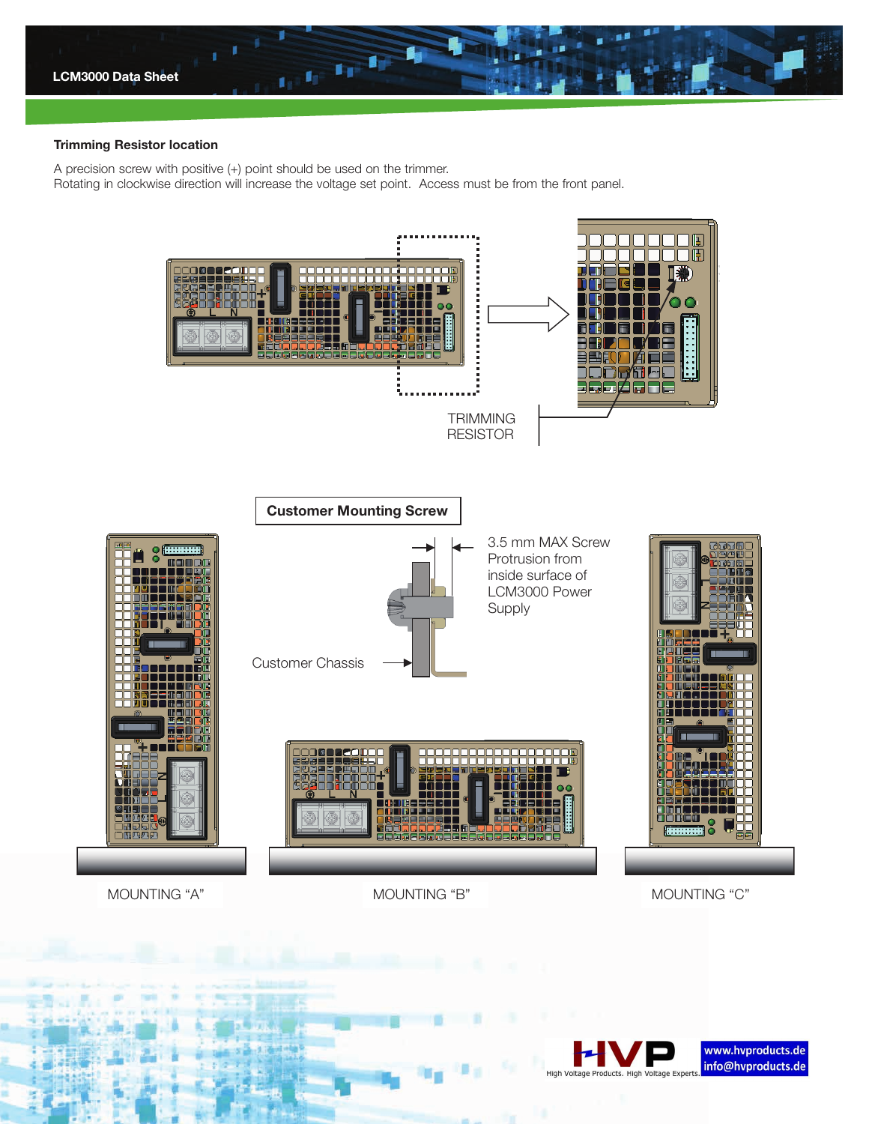

#### Trimming Resistor location

A precision screw with positive (+) point should be used on the trimmer. Rotating in clockwise direction will increase the voltage set point. Access must be from the front panel.



MOUNTING "A" MOUNTING "B" MOUNTING "C"